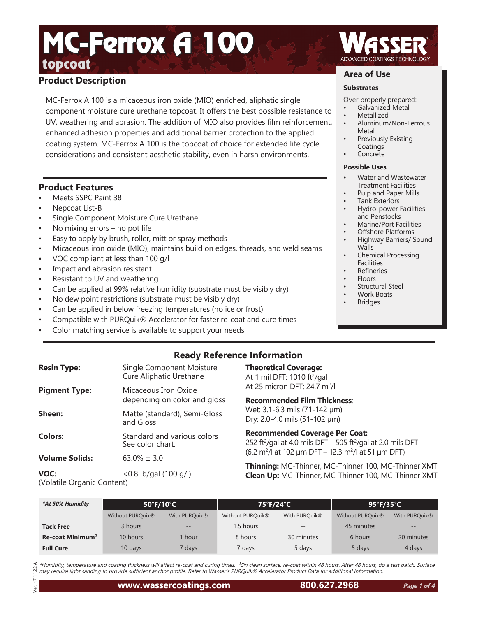# topcoat<sub>ing</sub> the coatings technology of the coatings technology MC-Ferrox **A** 100

# **Product Description**

MC-Ferrox A 100 is a micaceous iron oxide (MIO) enriched, aliphatic single component moisture cure urethane topcoat. It offers the best possible resistance to UV, weathering and abrasion. The addition of MIO also provides film reinforcement, enhanced adhesion properties and additional barrier protection to the applied coating system. MC-Ferrox A 100 is the topcoat of choice for extended life cycle considerations and consistent aesthetic stability, even in harsh environments.

## **Product Features**

- Meets SSPC Paint 38
- Nepcoat List-B
- Single Component Moisture Cure Urethane
- No mixing errors  $-$  no pot life
- Easy to apply by brush, roller, mitt or spray methods
- Micaceous iron oxide (MIO), maintains build on edges, threads, and weld seams
- VOC compliant at less than 100 g/l
- Impact and abrasion resistant
- Resistant to UV and weathering
- Can be applied at 99% relative humidity (substrate must be visibly dry)
- No dew point restrictions (substrate must be visibly dry)
- Can be applied in below freezing temperatures (no ice or frost)
- Compatible with PURQuik® Accelerator for faster re-coat and cure times
- Color matching service is available to support your needs

# **Ready Reference Information**

**Theoretical Coverage:** At 1 mil DFT: 1010 ft²/gal At 25 micron DFT: 24.7 m<sup>2</sup>/l **Recommended Film Thickness**: Wet: 3.1-6.3 mils (71-142 µm) Dry: 2.0-4.0 mils (51-102 µm)

**Recommended Coverage Per Coat:**

252 ft²/gal at 4.0 mils DFT – 505 ft²/gal at 2.0 mils DFT  $(6.2 \text{ m}^2)$ l at 102 µm DFT – 12.3 m<sup>2</sup>/l at 51 µm DFT)

**Thinning:** MC-Thinner, MC-Thinner 100, MC-Thinner XMT

| <b>Resin Type:</b>    | Single Component Moisture<br>Cure Aliphatic Urethane |
|-----------------------|------------------------------------------------------|
| <b>Pigment Type:</b>  | Micaceous Iron Oxide<br>depending on color and gloss |
| Sheen:                | Matte (standard), Semi-Gloss<br>and Gloss            |
| <b>Colors:</b>        | Standard and various colors<br>See color chart.      |
| <b>Volume Solids:</b> | $63.0% + 3.0$                                        |
| VOC:                  | $< 0.8$ lb/gal (100 g/l)                             |

(Volatile Organic Content)

**Clean Up:** MC-Thinner, MC-Thinner 100, MC-Thinner XMT **\*At 50% Humidity 50°F/10°C 75°F/24°C 95°F/35°C** Without PURQuik® With PURQuik® Without PURQuik® With PURQuik® Without PURQuik® With PURQuik® **Tack Free** 3 hours -- 1.5 hours -- **1.5 hours -- 45 minutes --**

\*Humidity, temperature and coating thickness will affect re-coat and curing times. <sup>1</sup>On clean surface, re-coat within 48 hours. After 48 hours, do a test patch. Surface may require light sanding to provide sufficient anchor profile. Refer to Wasser's PURQuik® Accelerator Product Data for additional information.

**Re-coat Minimum**<sup>1</sup> 10 hours 1 hour 8 hours 30 minutes 6 hours 20 minutes **Full Cure** 10 days 7 days 7 days 5 days 5 days 4 days 4 days

# **Area of Use**

#### **Substrates**

- Over properly prepared:
- Galvanized Metal
- **Metallized**
- Aluminum/Non-Ferrous Metal
- Previously Existing Coatings
- **Concrete**

#### **Possible Uses**

- Water and Wastewater Treatment Facilities
- Pulp and Paper Mills
- Tank Exteriors
- Hydro-power Facilities and Penstocks
- Marine/Port Facilities
- Offshore Platforms
- Highway Barriers/ Sound **Walls**
- Chemical Processing Facilities
- **Refineries**
- Floors
- Structural Steel
- Work Boats
- **Bridges**

**Page 1 of 4**

Ver. 17.11.22.A  $11.22A$  $\overline{a}$ Jer.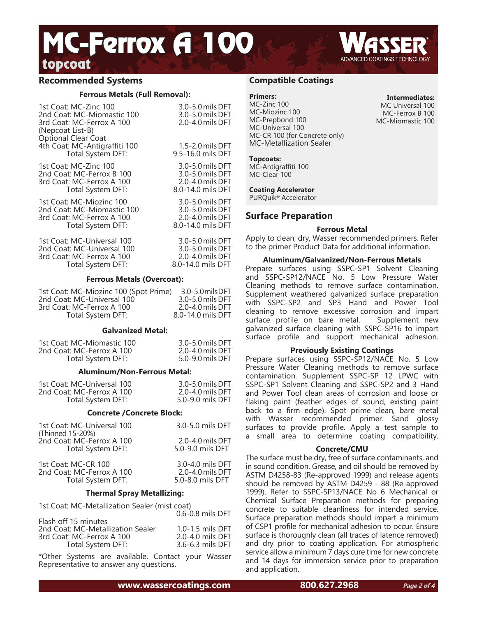# topcoat<sub>ing</sub> the state of the state of the state of the state of the state of the state of the state of the state of the state of the state of the state of the state of the state of the state of the state of the state of t MC-Ferrox A 100

## **Recommended Systems**

#### **Ferrous Metals (Full Removal):**

| 1st Coat: MC-Zinc 100<br>2nd Coat: MC-Miomastic 100<br>3rd Coat: MC-Ferrox A 100<br>(Nepcoat List-B)<br>Optional Clear Coat | 3.0-5.0 mils DFT<br>3.0-5.0 mils DFT<br>2.0-4.0 mils DFT |
|-----------------------------------------------------------------------------------------------------------------------------|----------------------------------------------------------|
| 4th Coat: MC-Antigraffiti 100                                                                                               | 1.5-2.0 mils DFT                                         |
| Total System DFT:                                                                                                           | 9.5-16.0 mils DFT                                        |
| 1st Coat: MC-Zinc 100                                                                                                       | 3.0-5.0 mils DFT                                         |
| 2nd Coat: MC-Ferrox B 100                                                                                                   | 3.0-5.0 mils DFT                                         |
| 3rd Coat: MC-Ferrox A 100                                                                                                   | 2.0-4.0 mils DFT                                         |
| Total System DFT:                                                                                                           | 8.0-14.0 mils DFT                                        |
| 1st Coat: MC-Miozinc 100                                                                                                    | 3.0-5.0 mils DFT                                         |
| 2nd Coat: MC-Miomastic 100                                                                                                  | 3.0-5.0 mils DFT                                         |
| 3rd Coat: MC-Ferrox A 100                                                                                                   | 2.0-4.0 mils DFT                                         |
| Total System DFT:                                                                                                           | 8.0-14.0 mils DFT                                        |
| 1st Coat: MC-Universal 100                                                                                                  | 3.0-5.0 mils DFT                                         |
| 2nd Coat: MC-Universal 100                                                                                                  | 3.0-5.0 mils DFT                                         |
| 3rd Coat: MC-Ferrox A 100                                                                                                   | 2.0-4.0 mils DFT                                         |
| Total System DFT:                                                                                                           | 8.0-14.0 mils DFT                                        |

#### **Ferrous Metals (Overcoat):**

| 1st Coat: MC-Miozinc 100 (Spot Prime) | 3.0-5.0 mils DFT  |
|---------------------------------------|-------------------|
| 2nd Coat: MC-Universal 100            | 3.0-5.0 mils DFT  |
| 3rd Coat: MC-Ferrox A 100             | 2.0-4.0 mils DFT  |
| Total System DFT:                     | 8.0-14.0 mils DFT |

#### **Galvanized Metal:**

| 1st Coat: MC-Miomastic 100 | 3.0-5.0 mils DFT |
|----------------------------|------------------|
| 2nd Coat: MC-Ferrox A 100  | 2.0-4.0 mils DFT |
| Total System DFT:          | 5.0-9.0 mils DFT |

#### **Aluminum/Non-Ferrous Metal:**

| 1st Coat: MC-Universal 100 | 3.0-5.0 mils DFT     |
|----------------------------|----------------------|
| 2nd Coat: MC-Ferrox A 100  | $2.0 - 4.0$ mils DFT |
| Total System DFT:          | 5.0-9.0 mils DFT     |

#### **Concrete /Concrete Block:**

| 1st Coat: MC-Universal 100<br>(Thinned 15-20%) | 3.0-5.0 mils DFT |
|------------------------------------------------|------------------|
| 2nd Coat: MC-Ferrox A 100                      | 2.0-4.0 mils DFT |
| Total System DFT:                              | 5.0-9.0 mils DFT |
| 1st Coat: MC-CR 100                            | 3.0-4.0 mils DFT |
| 2nd Coat: MC-Ferrox A 100                      | 2.0-4.0 mils DFT |
| Total System DFT:                              | 5.0-8.0 mils DFT |

#### **Thermal Spray Metallizing:**

| 1st Coat: MC-Metallization Sealer (mist coat) |                  |
|-----------------------------------------------|------------------|
|                                               | 0.6-0.8 mils DFT |
| Flash off 15 minutes                          |                  |
| 2nd Coat: MC-Metallization Sealer             | 1.0-1.5 mils DFT |
| 3rd Coat: MC-Ferrox A 100                     | 2.0-4.0 mils DFT |
| Total System DFT:                             | 3.6-6.3 mils DFT |

\*Other Systems are available. Contact your Wasser Representative to answer any questions.

## **Compatible Coatings**

#### **Primers:**

MC-Zinc 100 MC-Miozinc 100 MC-Prepbond 100 MC-Universal 100 MC-CR 100 (for Concrete only) MC-Metallization Sealer

**Intermediates:** MC Universal 100 MC-Ferrox B 100 MC-Miomastic 100

#### **Topcoats:**

MC-Antigraffiti 100 MC-Clear 100

#### **Coating Accelerator**

PURQuik® Accelerator

## **Surface Preparation**

#### **Ferrous Metal**

Apply to clean, dry, Wasser recommended primers. Refer to the primer Product Data for additional information.

#### **Aluminum/Galvanized/Non-Ferrous Metals**

Prepare surfaces using SSPC-SP1 Solvent Cleaning and SSPC-SP12/NACE No. 5 Low Pressure Water Cleaning methods to remove surface contamination. Supplement weathered galvanized surface preparation with SSPC-SP2 and SP3 Hand and Power Tool cleaning to remove excessive corrosion and impart surface profile on bare metal. Supplement new galvanized surface cleaning with SSPC-SP16 to impart surface profile and support mechanical adhesion.

#### **Previously Existing Coatings**

Prepare surfaces using SSPC-SP12/NACE No. 5 Low Pressure Water Cleaning methods to remove surface contamination. Supplement SSPC-SP 12 LPWC with SSPC-SP1 Solvent Cleaning and SSPC-SP2 and 3 Hand and Power Tool clean areas of corrosion and loose or flaking paint (feather edges of sound, existing paint back to a firm edge). Spot prime clean, bare metal with Wasser recommended primer. Sand glossy surfaces to provide profile. Apply a test sample to a small area to determine coating compatibility.

#### **Concrete/CMU**

The surface must be dry, free of surface contaminants, and in sound condition. Grease, and oil should be removed by ASTM D4258-83 (Re-approved 1999) and release agents should be removed by ASTM D4259 - 88 (Re-approved 1999). Refer to SSPC-SP13/NACE No 6 Mechanical or Chemical Surface Preparation methods for preparing concrete to suitable cleanliness for intended service. Surface preparation methods should impart a minimum of CSP1 profile for mechanical adhesion to occur. Ensure surface is thoroughly clean (all traces of latence removed) and dry prior to coating application. For atmospheric service allow a minimum 7 days cure time for new concrete and 14 days for immersion service prior to preparation and application.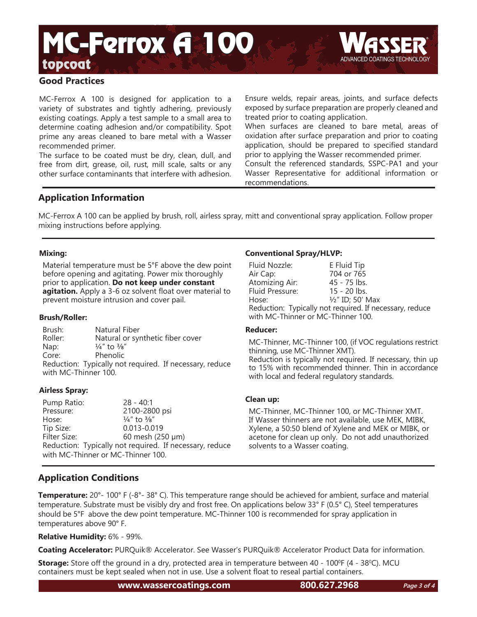# topcoat<sub>ing</sub> the state of the state of the state of the state of the state of the state of the state of the state of the state of the state of the state of the state of the state of the state of the state of the state of t MC-Ferrox **A** 100



MC-Ferrox A 100 is designed for application to a variety of substrates and tightly adhering, previously existing coatings. Apply a test sample to a small area to determine coating adhesion and/or compatibility. Spot prime any areas cleaned to bare metal with a Wasser recommended primer.

The surface to be coated must be dry, clean, dull, and free from dirt, grease, oil, rust, mill scale, salts or any other surface contaminants that interfere with adhesion. Ensure welds, repair areas, joints, and surface defects exposed by surface preparation are properly cleaned and treated prior to coating application.

When surfaces are cleaned to bare metal, areas of oxidation after surface preparation and prior to coating application, should be prepared to specified standard prior to applying the Wasser recommended primer.

Consult the referenced standards, SSPC-PA1 and your Wasser Representative for additional information or recommendations.

# **Application Information**

MC-Ferrox A 100 can be applied by brush, roll, airless spray, mitt and conventional spray application. Follow proper mixing instructions before applying.

## **Mixing:**

Material temperature must be 5°F above the dew point before opening and agitating. Power mix thoroughly prior to application. **Do not keep under constant agitation.** Apply a 3-6 oz solvent float over material to prevent moisture intrusion and cover pail.

### **Brush/Roller:**

Brush: Natural Fiber Roller: Natural or synthetic fiber cover Nap:  $\frac{1}{4}$ " to  $\frac{3}{8}$ " Core: Phenolic Reduction: Typically not required. If necessary, reduce with MC-Thinner 100.

## **Airless Spray:**

Pump Ratio: 28 - 40:1 Pressure: 2100-2800 psi Hose:  $\frac{1}{4}$ " to  $\frac{3}{8}$ " Tip Size: 0.013-0.019 60 mesh (250 µm) Reduction: Typically not required. If necessary, reduce with MC-Thinner or MC-Thinner 100.

## **Conventional Spray/HLVP:**

| Fluid Nozzle:                                           | E Fluid Tip      |  |
|---------------------------------------------------------|------------------|--|
| Air Cap:                                                | 704 or 765       |  |
| Atomizing Air:                                          | $45 - 75$ lbs.   |  |
| Fluid Pressure:                                         | $15 - 20$ lbs.   |  |
| Hose:                                                   | 1/2" ID; 50' Max |  |
| Reduction: Typically not required. If necessary, reduce |                  |  |
| with MC-Thinner or MC-Thinner 100.                      |                  |  |

### **Reducer:**

MC-Thinner, MC-Thinner 100, (if VOC regulations restrict thinning, use MC-Thinner XMT). Reduction is typically not required. If necessary, thin up to 15% with recommended thinner. Thin in accordance with local and federal regulatory standards.

### **Clean up:**

MC-Thinner, MC-Thinner 100, or MC-Thinner XMT. If Wasser thinners are not available, use MEK, MIBK, Xylene, a 50:50 blend of Xylene and MEK or MIBK, or acetone for clean up only. Do not add unauthorized solvents to a Wasser coating.

# **Application Conditions**

**Temperature:** 20°- 100° F (-8°- 38° C). This temperature range should be achieved for ambient, surface and material temperature. Substrate must be visibly dry and frost free. On applications below 33° F (0.5° C), Steel temperatures should be 5°F above the dew point temperature. MC-Thinner 100 is recommended for spray application in temperatures above 90° F.

**Relative Humidity:** 6% - 99%.

**Coating Accelerator:** PURQuik® Accelerator. See Wasser's PURQuik® Accelerator Product Data for information.

**Storage:** Store off the ground in a dry, protected area in temperature between 40 - 100<sup>o</sup>F (4 - 38<sup>o</sup>C). MCU containers must be kept sealed when not in use. Use a solvent float to reseal partial containers.

**www.wassercoatings.com 800.627.2968**